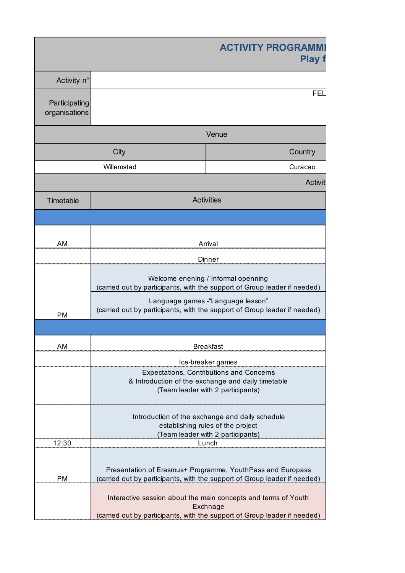|                                |            | <b>ACTIVITY PROGRAMM</b><br><b>Play f</b>                                                                                                               |
|--------------------------------|------------|---------------------------------------------------------------------------------------------------------------------------------------------------------|
| Activity n°                    |            |                                                                                                                                                         |
| Participating<br>organisations |            | <b>FEL</b>                                                                                                                                              |
|                                |            | Venue                                                                                                                                                   |
|                                | City       | Country                                                                                                                                                 |
|                                | Willemstad | Curacao                                                                                                                                                 |
|                                |            | <b>Activit</b>                                                                                                                                          |
| Timetable                      |            | <b>Activities</b>                                                                                                                                       |
|                                |            |                                                                                                                                                         |
|                                |            |                                                                                                                                                         |
| AM                             |            | Arrival                                                                                                                                                 |
|                                |            | Dinner                                                                                                                                                  |
|                                |            | Welcome enening / Informal openning<br>(carried out by participants, with the support of Group leader if needed)                                        |
| PM                             |            | Language games -"Language lesson"<br>(carried out by participants, with the support of Group leader if needed)                                          |
|                                |            |                                                                                                                                                         |
| AM                             |            | <b>Breakfast</b>                                                                                                                                        |
|                                |            | Ice-breaker games                                                                                                                                       |
|                                |            | Expectations, Contributions and Concerns                                                                                                                |
|                                |            | & Introduction of the exchange and daily timetable<br>(Team leader with 2 participants)                                                                 |
|                                |            | Introduction of the exchange and daily schedule<br>establishing rules of the project                                                                    |
|                                |            | (Team leader with 2 participants)                                                                                                                       |
| 12:30                          |            | Lunch                                                                                                                                                   |
| <b>PM</b>                      |            | Presentation of Erasmus+ Programme, YouthPass and Europass<br>(carried out by participants, with the support of Group leader if needed)                 |
|                                |            | Interactive session about the main concepts and terms of Youth<br>Exchnage<br>(carried out by participants, with the support of Group leader if needed) |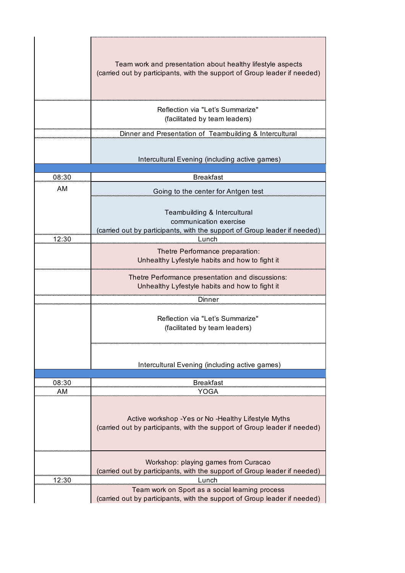|       | Team work and presentation about healthy lifestyle aspects<br>(carried out by participants, with the support of Group leader if needed)                                       |  |  |  |  |
|-------|-------------------------------------------------------------------------------------------------------------------------------------------------------------------------------|--|--|--|--|
|       | Reflection via "Let's Summarize"<br>(facilitated by team leaders)                                                                                                             |  |  |  |  |
|       | Dinner and Presentation of Teambuilding & Intercultural                                                                                                                       |  |  |  |  |
|       | Intercultural Evening (including active games)                                                                                                                                |  |  |  |  |
| 08:30 | <b>Breakfast</b>                                                                                                                                                              |  |  |  |  |
| AM    | Going to the center for Antgen test                                                                                                                                           |  |  |  |  |
| 12:30 | Teambuilding & Intercultural<br>communication exercise<br>(carried out by participants, with the support of Group leader if needed)<br>Lunch                                  |  |  |  |  |
|       | Thetre Performance preparation:<br>Unhealthy Lyfestyle habits and how to fight it                                                                                             |  |  |  |  |
|       | Thetre Performance presentation and discussions:<br>Unhealthy Lyfestyle habits and how to fight it                                                                            |  |  |  |  |
|       | Dinner<br>Reflection via "Let's Summarize"<br>(facilitated by team leaders)                                                                                                   |  |  |  |  |
|       | Intercultural Evening (including active games)                                                                                                                                |  |  |  |  |
| 08:30 | <b>Breakfast</b>                                                                                                                                                              |  |  |  |  |
| AM    | YOGA<br>Active workshop -Yes or No -Healthy Lifestyle Myths<br>(carried out by participants, with the support of Group leader if needed)                                      |  |  |  |  |
| 12:30 | Workshop: playing games from Curacao<br>(carried out by participants, with the support of Group leader if needed)<br>Lunch<br>Team work on Sport as a social learning process |  |  |  |  |
|       | (carried out by participants, with the support of Group leader if needed)                                                                                                     |  |  |  |  |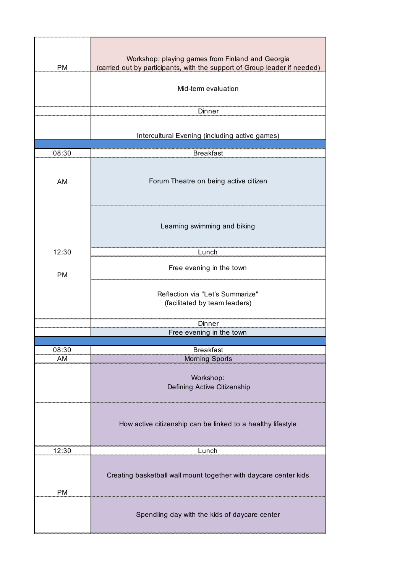| <b>PM</b> | Workshop: playing games from Finland and Georgia<br>(carried out by participants, with the support of Group leader if needed)<br>Mid-term evaluation<br>Dinner |  |  |
|-----------|----------------------------------------------------------------------------------------------------------------------------------------------------------------|--|--|
|           | Intercultural Evening (including active games)                                                                                                                 |  |  |
| 08:30     | <b>Breakfast</b>                                                                                                                                               |  |  |
| <b>AM</b> | Forum Theatre on being active citizen                                                                                                                          |  |  |
|           | Learning swimming and biking                                                                                                                                   |  |  |
| 12:30     | Lunch                                                                                                                                                          |  |  |
| <b>PM</b> | Free evening in the town                                                                                                                                       |  |  |
|           | Reflection via "Let's Summarize"<br>(facilitated by team leaders)                                                                                              |  |  |
|           | Dinner                                                                                                                                                         |  |  |
|           | Free evening in the town                                                                                                                                       |  |  |
| 08:30     | <b>Breakfast</b>                                                                                                                                               |  |  |
| ΑM        | <b>Morning Sports</b>                                                                                                                                          |  |  |
|           | Workshop:<br>Defining Active Citizenship                                                                                                                       |  |  |
|           | How active citizenship can be linked to a healthy lifestyle                                                                                                    |  |  |
| 12:30     | Lunch                                                                                                                                                          |  |  |
| <b>PM</b> | Creating basketball wall mount together with daycare center kids                                                                                               |  |  |
|           | Spendiing day with the kids of daycare center                                                                                                                  |  |  |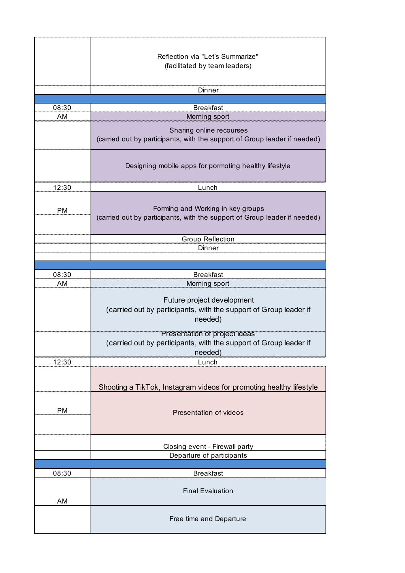|           | Reflection via "Let's Summarize"<br>(facilitated by team leaders)                                              |  |  |
|-----------|----------------------------------------------------------------------------------------------------------------|--|--|
|           |                                                                                                                |  |  |
|           | Dinner                                                                                                         |  |  |
| 08:30     | <b>Breakfast</b>                                                                                               |  |  |
| ΑM        | Morning sport                                                                                                  |  |  |
|           | Sharing online recourses<br>(carried out by participants, with the support of Group leader if needed)          |  |  |
|           | Designing mobile apps for pormoting healthy lifestyle                                                          |  |  |
| 12:30     | Lunch                                                                                                          |  |  |
| <b>PM</b> | Forming and Working in key groups<br>(carried out by participants, with the support of Group leader if needed) |  |  |
|           | Group Reflection<br>Dinner                                                                                     |  |  |
|           |                                                                                                                |  |  |
| 08:30     | <b>Breakfast</b>                                                                                               |  |  |
| AМ        | Morning sport                                                                                                  |  |  |
|           | Future project development<br>(carried out by participants, with the support of Group leader if<br>needed)     |  |  |
|           | Presentation of project ideas<br>(carried out by participants, with the support of Group leader if<br>needed)  |  |  |
| 12:30     | Lunch                                                                                                          |  |  |
|           | Shooting a TikTok, Instagram videos for promoting healthy lifestyle                                            |  |  |
| <b>PM</b> | Presentation of videos                                                                                         |  |  |
|           |                                                                                                                |  |  |
|           | Closing event - Firewall party<br>Departure of participants                                                    |  |  |
|           |                                                                                                                |  |  |
| 08:30     | <b>Breakfast</b>                                                                                               |  |  |
| AM        | <b>Final Evaluation</b>                                                                                        |  |  |
|           | Free time and Departure                                                                                        |  |  |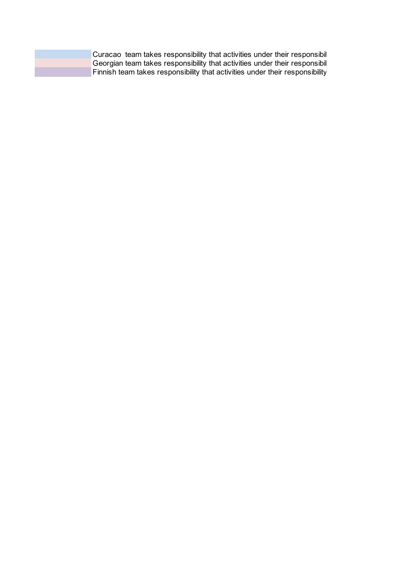|  | Curacao team takes responsibility that activities under their responsibil    |  |
|--|------------------------------------------------------------------------------|--|
|  | Georgian team takes responsibility that activities under their responsibil   |  |
|  | Finnish team takes responsibility that activities under their responsibility |  |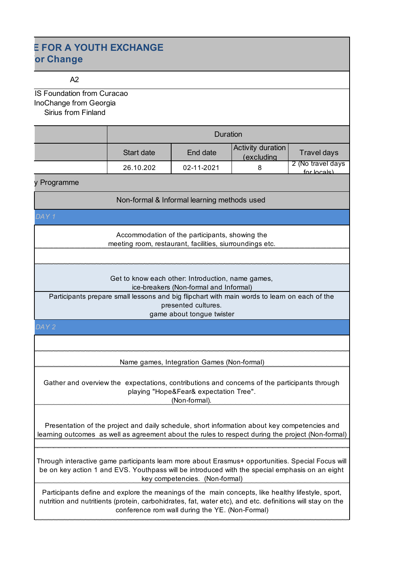# **E FOR A YOUTH EXCHANGE pr Change**

### $A2$

**IS Foundation from Curacao** InoChange from Georgia Sirius from Finland

|  | Duration   |            |                                 |                                  |
|--|------------|------------|---------------------------------|----------------------------------|
|  | Start date | End date   | Activity duration<br>(excluding | Travel days                      |
|  | 26.10.202  | 02-11-2021 |                                 | 2 (No travel days<br>for locals) |

v Programme

Non-formal & Informal learning methods used

*DAY 1*

Accommodation of the participants, showing the meeting room, restaurant, facilities, siurroundings etc.

Get to know each other: Introduction, name games, ice-breakers (Non-formal and Informal)

Participants prepare small lessons and big flipchart with main words to learn on each of the presented cultures.

game about tongue twister

## *DAY 2*

Name games, Integration Games (Non-formal)

Gather and overview the expectations, contributions and concerns of the participants through playing "Hope&Fear& expectation Tree". (Non-formal).

Presentation of the project and daily schedule, short information about key competencies and learning outcomes as well as agreement about the rules to respect during the project (Non-formal)

Through interactive game participants learn more about Erasmus+ opportunities. Special Focus will be on key action 1 and EVS. Youthpass will be introduced with the special emphasis on an eight key competencies. (Non-formal)

Participants define and explore the meanings of the main concepts, like healthy lifestyle, sport, nutrition and nutritients (protein, carbohidrates, fat, water etc), and etc. definitions will stay on the conference rom wall during the YE. (Non-Formal)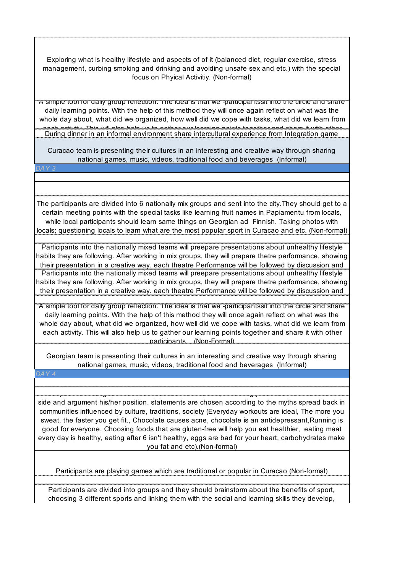Exploring what is healthy lifestyle and aspects of of it (balanced diet, regular exercise, stress management, curbing smoking and drinking and avoiding unsafe sex and etc.) with the special focus on Phyical Activitiy. (Non-formal)

A simple tool for daily group reflection. The idea is that we -participantssit into the circle and share daily learning points. With the help of this method they will once again reflect on what was the whole day about, what did we organized, how well did we cope with tasks, what did we learn from each activity. This will also help us to gather our learning points together and share it with other During dinner in an informal environment share intercultural experience from Integration game

Curacao team is presenting their cultures in an interesting and creative way through sharing national games, music, videos, traditional food and beverages (Informal)

*DAY 3*

The participants are divided into 6 nationally mix groups and sent into the city.They should get to a certain meeting points with the special tasks like learning fruit names in Papiamentu from locals, while local participants should learn same things on Georgian ad Finnish. Taking photos with locals; questioning locals to learn what are the most popular sport in Curacao and etc. (Non-formal)

Participants into the nationally mixed teams will preepare presentations about unhealthy lifestyle habits they are following. After working in mix groups, they will prepare thetre performance, showing their presentation in a creative way. each theatre Performance will be followed by discussion and Participants into the nationally mixed teams will preepare presentations about unhealthy lifestyle habits they are following. After working in mix groups, they will prepare thetre performance, showing their presentation in a creative way. each theatre Performance will be followed by discussion and

A simple tool for daily group reflection. The idea is that we -participantssit into the circle and share daily learning points. With the help of this method they will once again reflect on what was the whole day about, what did we organized, how well did we cope with tasks, what did we learn from each activity. This will also help us to gather our learning points together and share it with other participants. . (Non-Formal)

Georgian team is presenting their cultures in an interesting and creative way through sharing national games, music, videos, traditional food and beverages (Informal)

side and argument his/her position. statements are chosen according to the myths spread back in communities influenced by culture, traditions, society (Everyday workouts are ideal, The more you sweat, the faster you get fit., Chocolate causes acne, chocolate is an antidepressant,Running is good for everyone, Choosing foods that are gluten-free will help you eat healthier, eating meat every day is healthy, eating after 6 isn't healthy, eggs are bad for your heart, carbohydrates make you fat and etc).(Non-formal)

Participants should guess if the statement is true or false, accordingly stand on "True" or "False"

Participants are playing games which are traditional or popular in Curacao (Non-formal)

Participants are divided into groups and they should brainstorm about the benefits of sport, choosing 3 different sports and linking them with the social and learning skills they develop,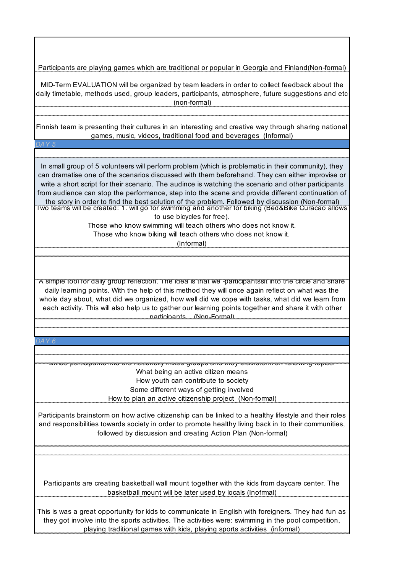Participants are playing games which are traditional or popular in Georgia and Finland(Non-formal)

MID-Term EVALUATION will be organized by team leaders in order to collect feedback about the daily timetable, methods used, group leaders, participants, atmosphere, future suggestions and etc (non-formal)

Finnish team is presenting their cultures in an interesting and creative way through sharing national games, music, videos, traditional food and beverages (Informal)

*DAY 5*

Two teams will be created: 1. will go for swimming and another for biking (Bed&Bike Curacao allows to use bicycles for free). In small group of 5 volunteers will perform problem (which is problematic in their community), they can dramatise one of the scenarios discussed with them beforehand. They can either improvise or write a short script for their scenario. The audince is watching the scenario and other participants from audience can stop the performance, step into the scene and provide different continuation of the story in order to find the best solution of the problem. Followed by discussion (Non-formal)

> Those who know swimming will teach others who does not know it. Those who know biking will teach others who does not know it.

> > (Informal)

A simple tool for daily group reflection. The idea is that we -participantssit into the circle and share daily learning points. With the help of this method they will once again reflect on what was the whole day about, what did we organized, how well did we cope with tasks, what did we learn from each activity. This will also help us to gather our learning points together and share it with other participants. (Non-Formal)

*DAY 6*

Divide participants into the nationally mixed groups and they brainstorm on following topics: What being an active citizen means How youth can contribute to society Some different ways of getting involved How to plan an active citizenship project (Non-formal)

Participants brainstorm on how active citizenship can be linked to a healthy lifestyle and their roles and responsibilities towards society in order to promote healthy living back in to their communities, followed by discussion and creating Action Plan (Non-formal)

Participants are creating basketball wall mount together with the kids from daycare center. The basketball mount will be later used by locals (Inofrmal)

This is was a great opportunity for kids to communicate in English with foreigners. They had fun as they got involve into the sports activities. The activities were: swimming in the pool competition, playing traditional games with kids, playing sports activities (informal)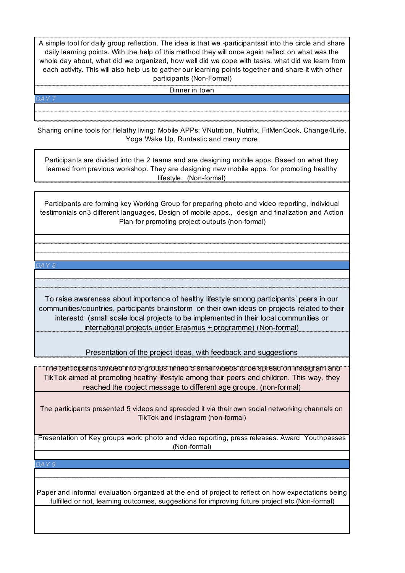A simple tool for daily group reflection. The idea is that we -participantssit into the circle and share daily learning points. With the help of this method they will once again reflect on what was the whole day about, what did we organized, how well did we cope with tasks, what did we learn from each activity. This will also help us to gather our learning points together and share it with other participants (Non-Formal)

Dinner in town

Sharing online tools for Helathy living: Mobile APPs: VNutrition, Nutrifix, FitMenCook, Change4Life, Yoga Wake Up, Runtastic and many more

Participants are divided into the 2 teams and are designing mobile apps. Based on what they learned from previous workshop. They are designing new mobile apps. for promoting healthy lifestyle. (Non-formal)

Participants are forming key Working Group for preparing photo and video reporting, individual testimonials on3 different languages, Design of mobile apps., design and finalization and Action Plan for promoting project outputs (non-formal)

#### *DAY 8*

To raise awareness about importance of healthy lifestyle among participants' peers in our communities/countries, participants brainstorm on their own ideas on projects related to their interestd (small scale local projects to be implemented in their local communities or international projects under Erasmus + programme) (Non-formal)

Presentation of the project ideas, with feedback and suggestions

The participants divided into 5 groups filmed 5 small videos to be spread on instagram and TikTok aimed at promoting healthy lifestyle among their peers and children. This way, they reached the rpoject message to different age groups. (non-formal)

The participants presented 5 videos and spreaded it via their own social networking channels on TikTok and Instagram (non-formal)

Presentation of Key groups work: photo and video reporting, press releases. Award Youthpasses (Non-formal)

#### *DAY 9*

Paper and informal evaluation organized at the end of project to reflect on how expectations being fulfilled or not, learning outcomes, suggestions for improving future project etc.(Non-formal)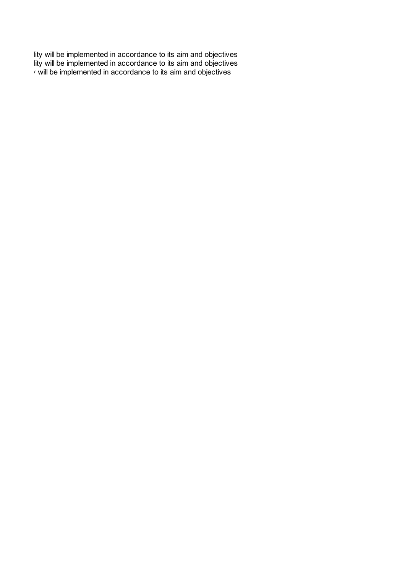r will be implemented in accordance to its aim and objectives lity will be implemented in accordance to its aim and objectives lity will be implemented in accordance to its aim and objectives